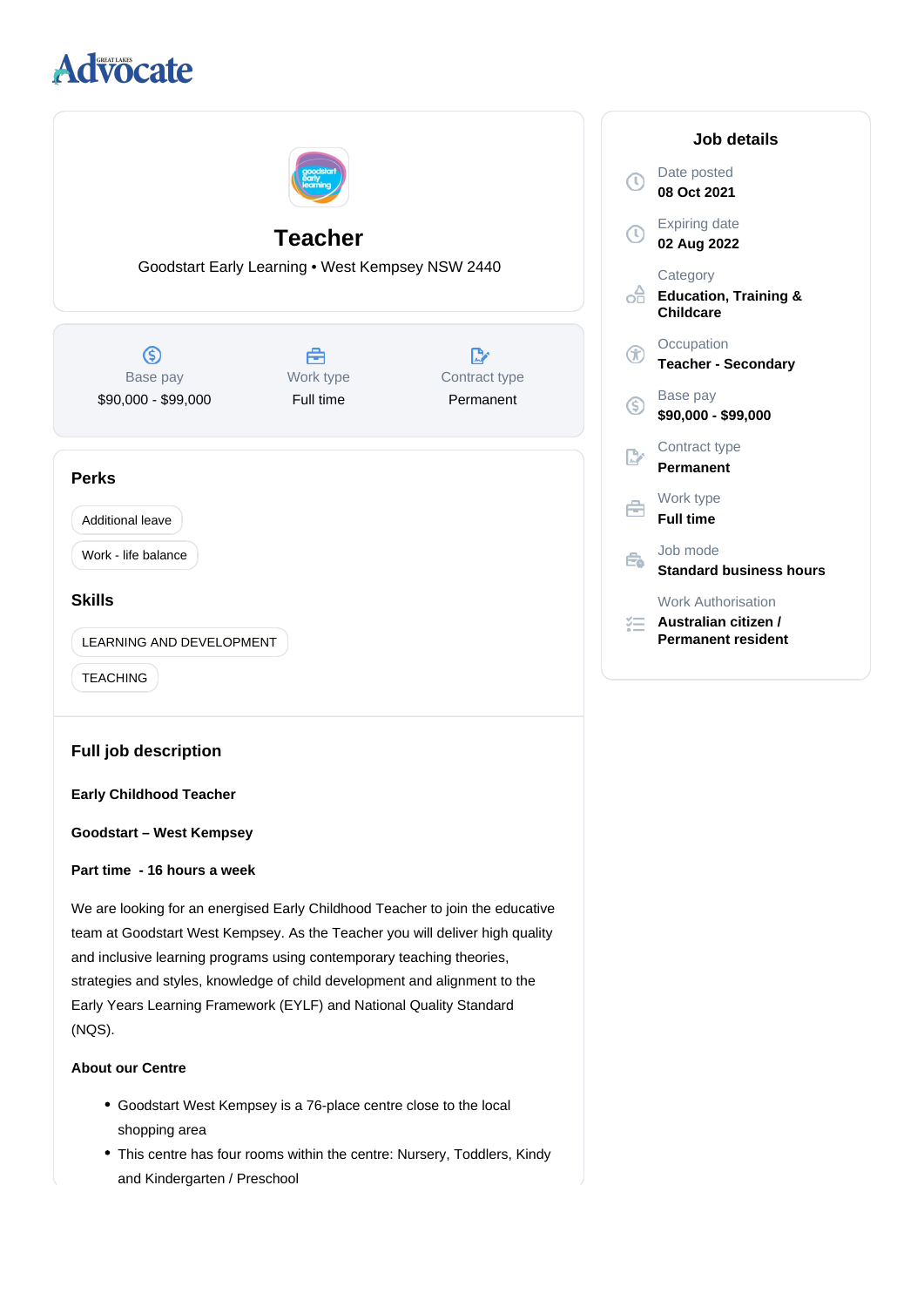# **Advocate**



- Goodstart West Kempsey is a 76-place centre close to the local shopping area
- This centre has four rooms within the centre: Nursery, Toddlers, Kindy and Kindergarten / Preschool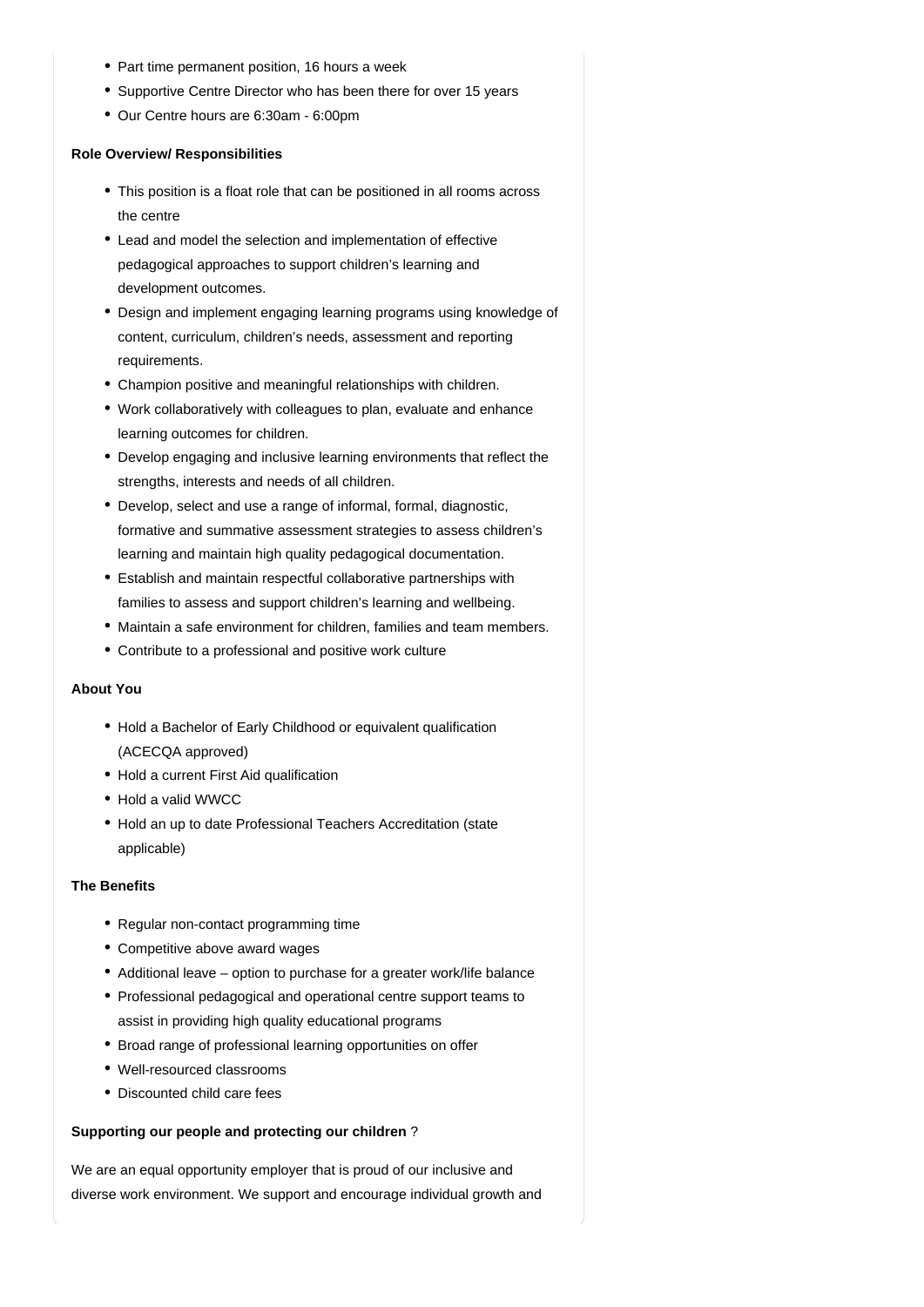- Part time permanent position, 16 hours a week
- Supportive Centre Director who has been there for over 15 years
- Our Centre hours are 6:30am 6:00pm

### **Role Overview/ Responsibilities**

- This position is a float role that can be positioned in all rooms across the centre
- Lead and model the selection and implementation of effective pedagogical approaches to support children's learning and development outcomes.
- Design and implement engaging learning programs using knowledge of content, curriculum, children's needs, assessment and reporting requirements.
- Champion positive and meaningful relationships with children.
- Work collaboratively with colleagues to plan, evaluate and enhance learning outcomes for children.
- Develop engaging and inclusive learning environments that reflect the strengths, interests and needs of all children.
- Develop, select and use a range of informal, formal, diagnostic, formative and summative assessment strategies to assess children's learning and maintain high quality pedagogical documentation.
- Establish and maintain respectful collaborative partnerships with families to assess and support children's learning and wellbeing.
- Maintain a safe environment for children, families and team members.
- Contribute to a professional and positive work culture

## **About You**

- Hold a Bachelor of Early Childhood or equivalent qualification (ACECQA approved)
- Hold a current First Aid qualification
- Hold a valid WWCC
- Hold an up to date Professional Teachers Accreditation (state applicable)

## **The Benefits**

- Regular non-contact programming time
- Competitive above award wages
- Additional leave option to purchase for a greater work/life balance
- Professional pedagogical and operational centre support teams to assist in providing high quality educational programs
- Broad range of professional learning opportunities on offer
- Well-resourced classrooms
- Discounted child care fees

### **Supporting our people and protecting our children** ?

We are an equal opportunity employer that is proud of our inclusive and diverse work environment. We support and encourage individual growth and